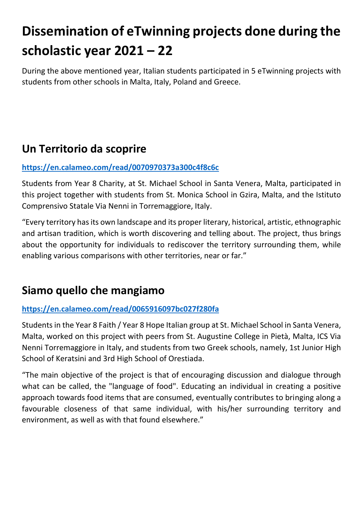# **Dissemination of eTwinning projects done during the scholastic year 2021 – 22**

During the above mentioned year, Italian students participated in 5 eTwinning projects with students from other schools in Malta, Italy, Poland and Greece.

### **Un Territorio da scoprire**

#### **<https://en.calameo.com/read/0070970373a300c4f8c6c>**

Students from Year 8 Charity, at St. Michael School in Santa Venera, Malta, participated in this project together with students from St. Monica School in Gzira, Malta, and the Istituto Comprensivo Statale Via Nenni in Torremaggiore, Italy.

"Every territory has its own landscape and its proper literary, historical, artistic, ethnographic and artisan tradition, which is worth discovering and telling about. The project, thus brings about the opportunity for individuals to rediscover the territory surrounding them, while enabling various comparisons with other territories, near or far."

### **Siamo quello che mangiamo**

#### **<https://en.calameo.com/read/0065916097bc027f280fa>**

Students in the Year 8 Faith / Year 8 Hope Italian group at St. Michael School in Santa Venera, Malta, worked on this project with peers from St. Augustine College in Pietà, Malta, ICS Via Nenni Torremaggiore in Italy, and students from two Greek schools, namely, 1st Junior High School of Keratsini and 3rd High School of Orestiada.

"The main objective of the project is that of encouraging discussion and dialogue through what can be called, the "language of food". Educating an individual in creating a positive approach towards food items that are consumed, eventually contributes to bringing along a favourable closeness of that same individual, with his/her surrounding territory and environment, as well as with that found elsewhere."